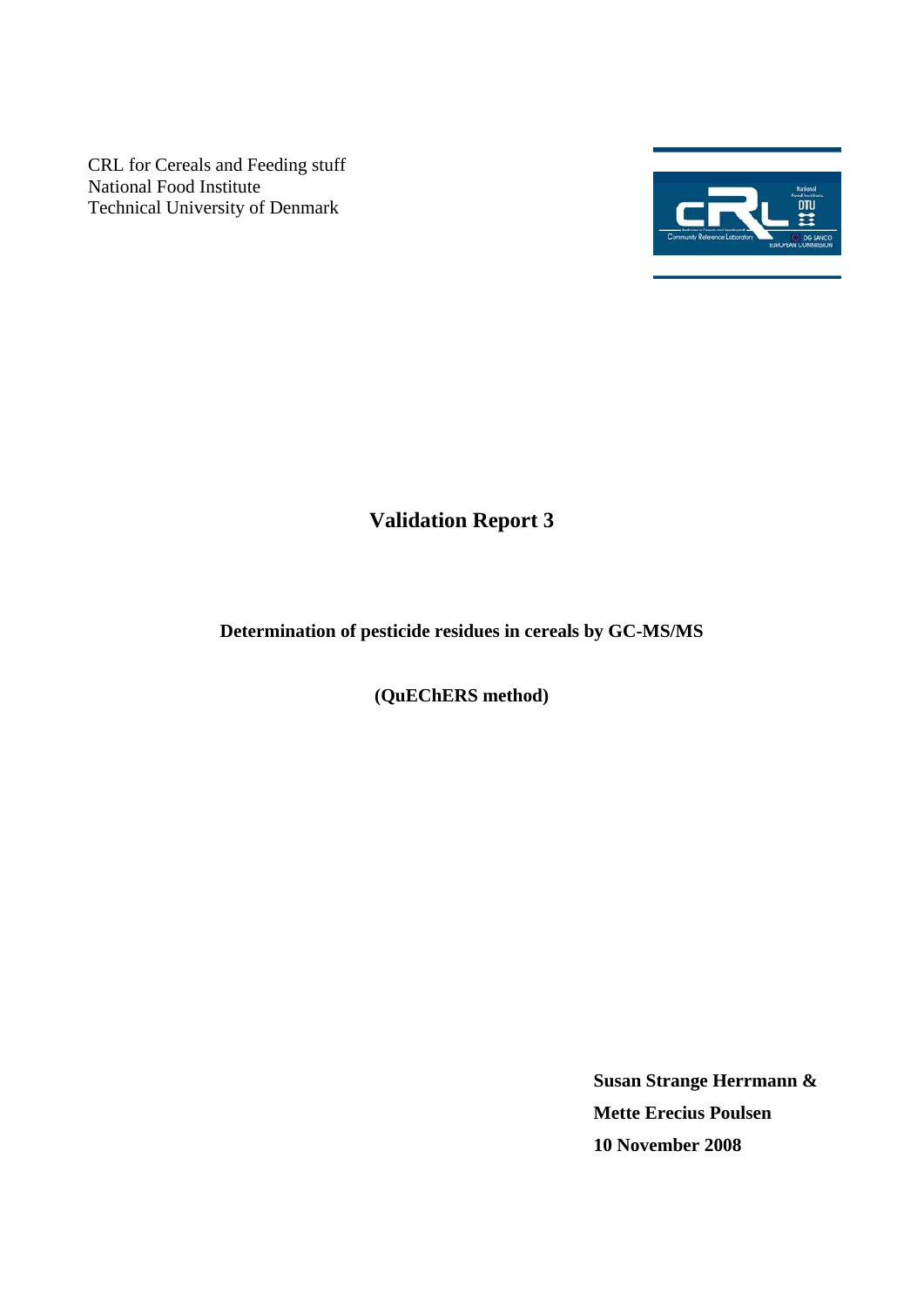CRL for Cereals and Feeding stuff National Food Institute Technical University of Denmark



# **Validation Report 3**

# **Determination of pesticide residues in cereals by GC-MS/MS**

**(QuEChERS method)** 

**Susan Strange Herrmann & Mette Erecius Poulsen 10 November 2008**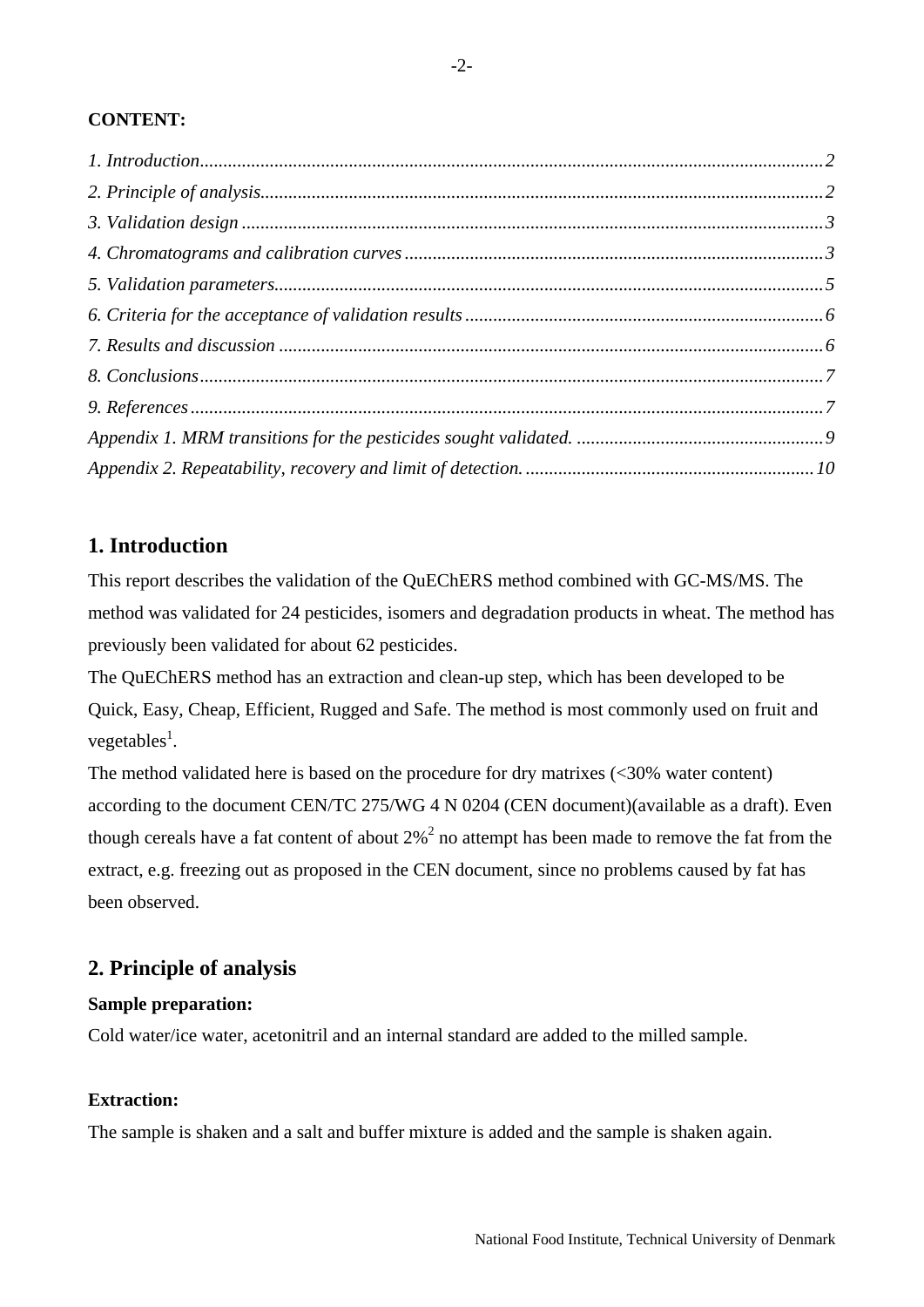### <span id="page-1-0"></span>**CONTENT:**

# **1. Introduction**

This report describes the validation of the QuEChERS method combined with GC-MS/MS. The method was validated for 24 pesticides, isomers and degradation products in wheat. The method has previously been validated for about 62 pesticides.

The QuEChERS method has an extraction and clean-up step, which has been developed to be Quick, Easy, Cheap, Efficient, Rugged and Safe. The method is most commonly used on fruit and vegetables<sup>1</sup>.

The method validated here is based on the procedure for dry matrixes  $\left( \langle 30\% \rangle \right)$  water content) according to the document CEN/TC 275/WG 4 N 0204 (CEN document)(available as a draft). Even though cereals have a fat content of about  $2\%^2$  no attempt has been made to remove the fat from the extract, e.g. freezing out as proposed in the CEN document, since no problems caused by fat has been observed.

# **2. Principle of analysis**

### **Sample preparation:**

Cold water/ice water, acetonitril and an internal standard are added to the milled sample.

### **Extraction:**

The sample is shaken and a salt and buffer mixture is added and the sample is shaken again.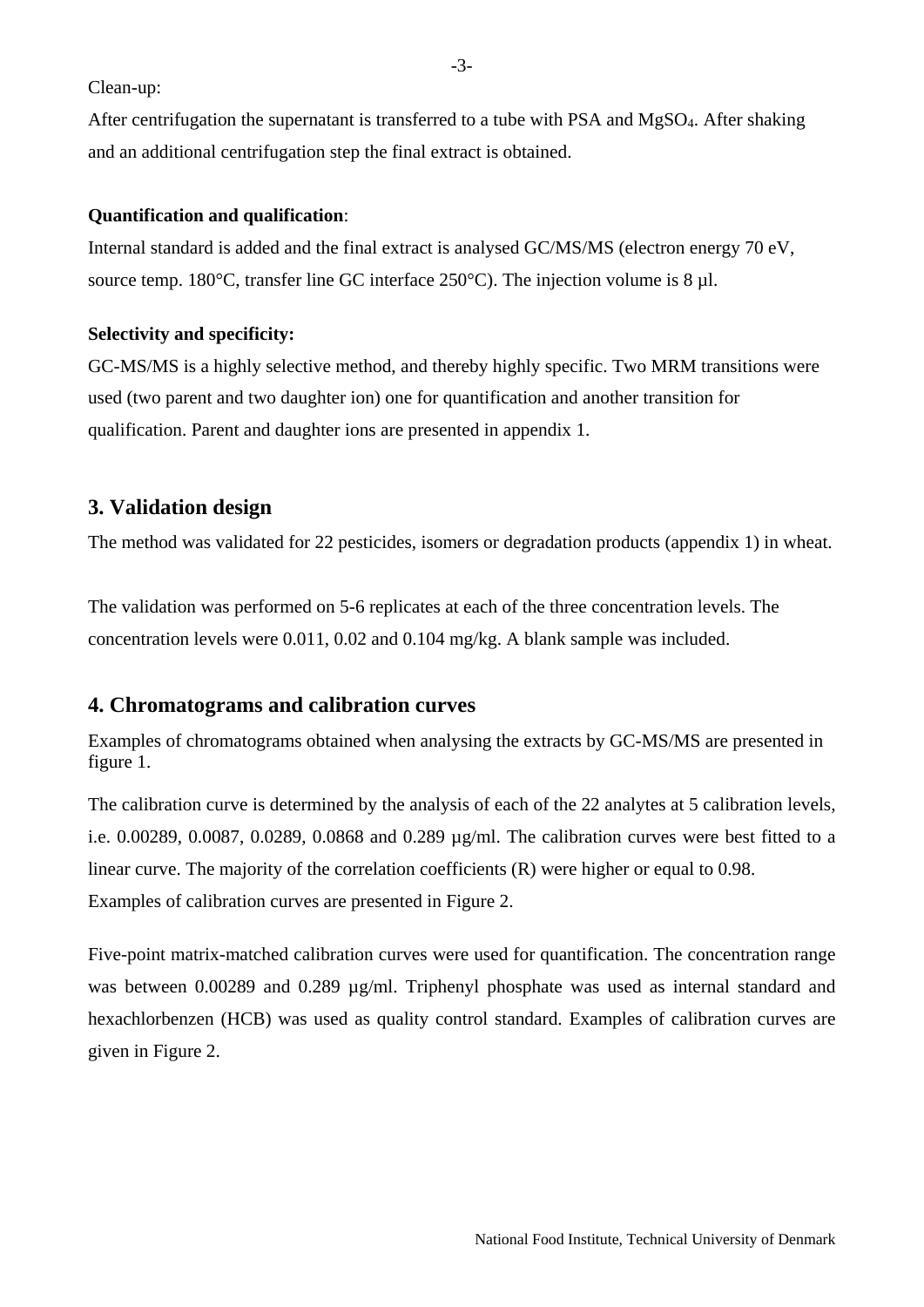<span id="page-2-0"></span>Clean-up:

After centrifugation the supernatant is transferred to a tube with PSA and MgSO4. After shaking and an additional centrifugation step the final extract is obtained.

#### **Quantification and qualification**:

Internal standard is added and the final extract is analysed GC/MS/MS (electron energy 70 eV, source temp. 180°C, transfer line GC interface 250°C). The injection volume is 8 µl.

#### **Selectivity and specificity:**

GC-MS/MS is a highly selective method, and thereby highly specific. Two MRM transitions were used (two parent and two daughter ion) one for quantification and another transition for qualification. Parent and daughter ions are presented in appendix 1.

# **3. Validation design**

The method was validated for 22 pesticides, isomers or degradation products (appendix 1) in wheat.

The validation was performed on 5-6 replicates at each of the three concentration levels. The concentration levels were 0.011, 0.02 and 0.104 mg/kg. A blank sample was included.

# **4. Chromatograms and calibration curves**

Examples of chromatograms obtained when analysing the extracts by GC-MS/MS are presented in figure 1.

The calibration curve is determined by the analysis of each of the 22 analytes at 5 calibration levels, i.e. 0.00289, 0.0087, 0.0289, 0.0868 and 0.289 µg/ml. The calibration curves were best fitted to a linear curve. The majority of the correlation coefficients (R) were higher or equal to 0.98. Examples of calibration curves are presented in Figure 2.

Five-point matrix-matched calibration curves were used for quantification. The concentration range was between 0.00289 and 0.289  $\mu$ g/ml. Triphenyl phosphate was used as internal standard and hexachlorbenzen (HCB) was used as quality control standard. Examples of calibration curves are given in Figure 2.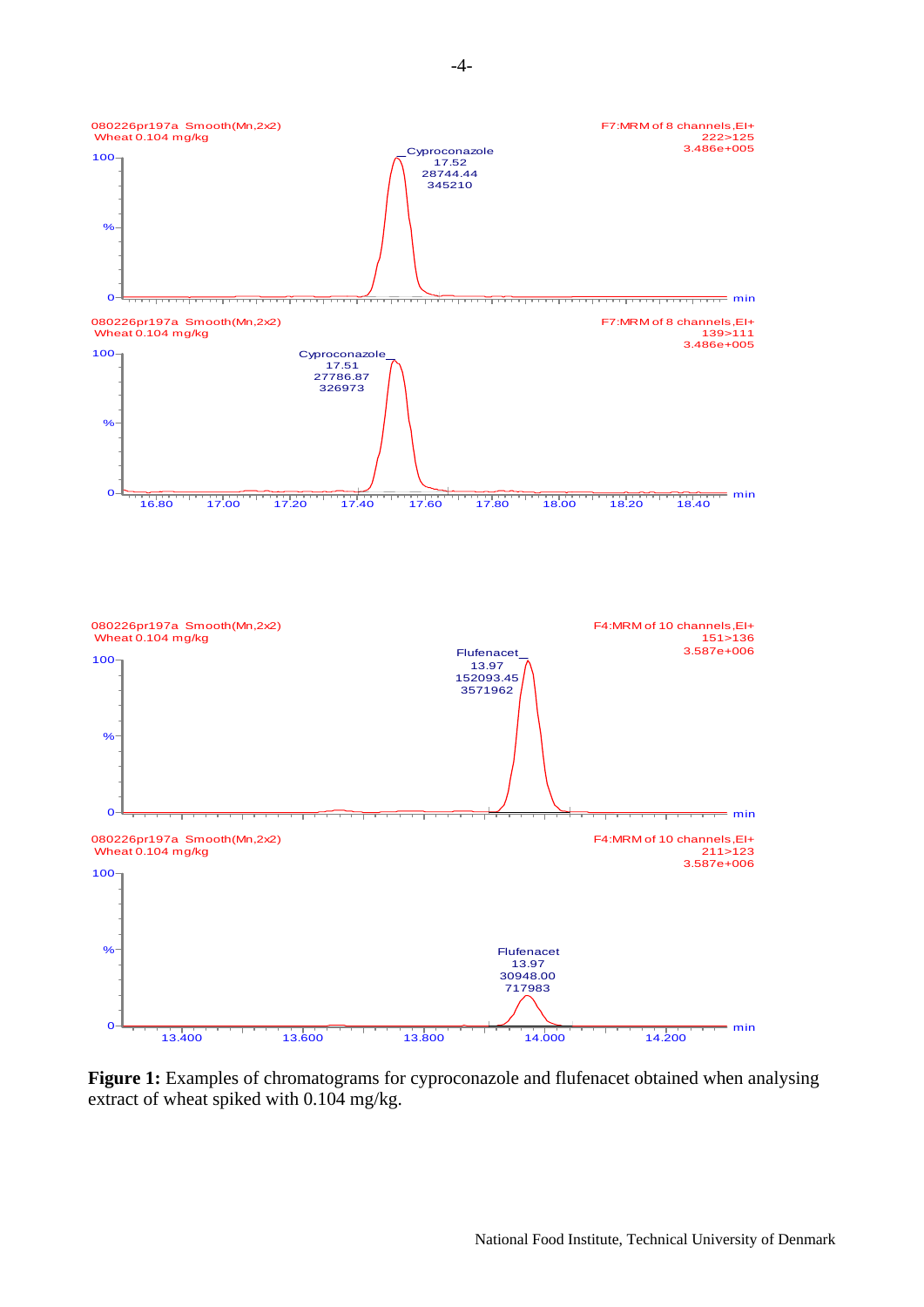

**Figure 1:** Examples of chromatograms for cyproconazole and flufenacet obtained when analysing extract of wheat spiked with 0.104 mg/kg.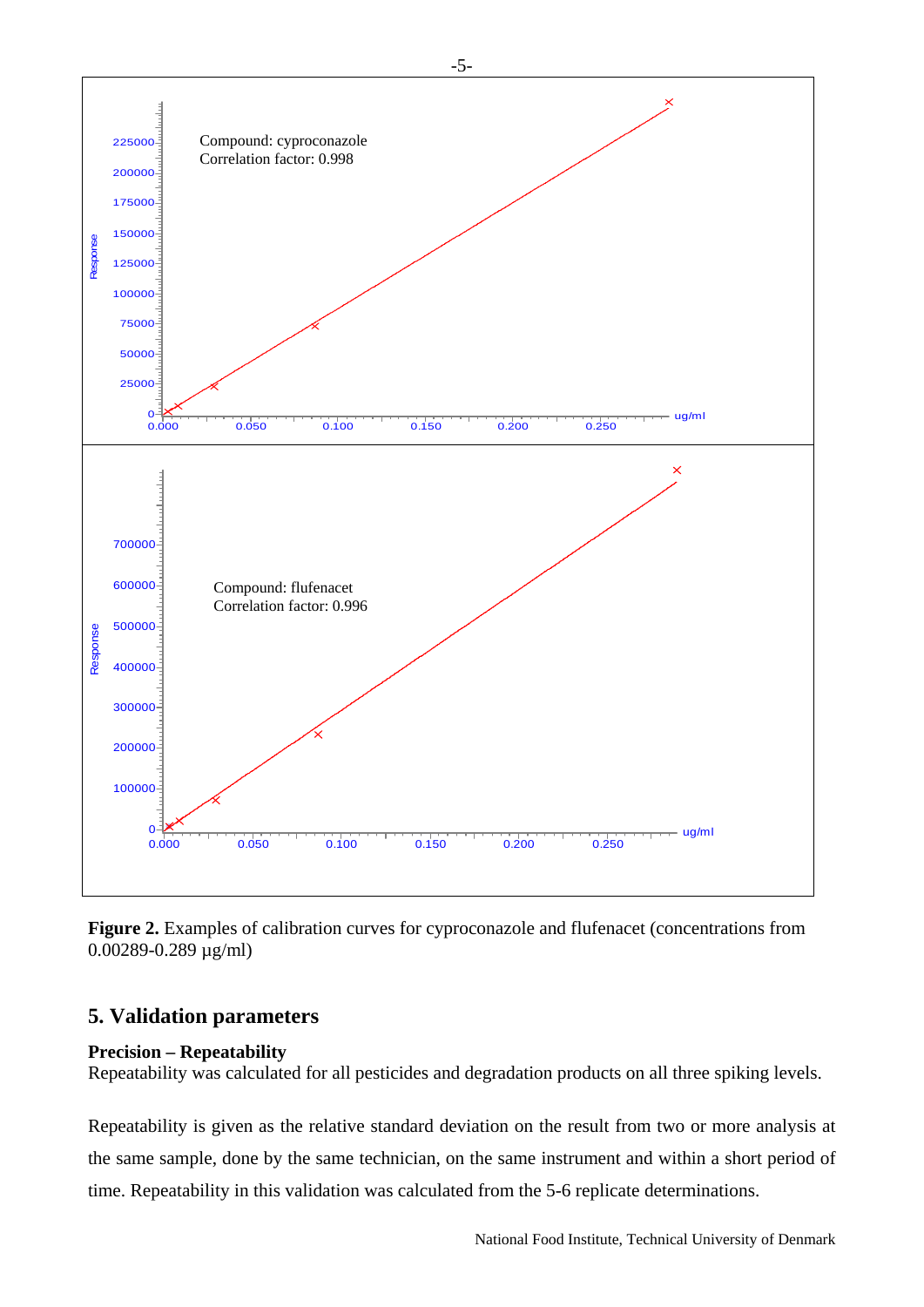<span id="page-4-0"></span>

**Figure 2.** Examples of calibration curves for cyproconazole and flufenacet (concentrations from 0.00289-0.289 µg/ml)

# **5. Validation parameters**

#### **Precision – Repeatability**

Repeatability was calculated for all pesticides and degradation products on all three spiking levels.

Repeatability is given as the relative standard deviation on the result from two or more analysis at the same sample, done by the same technician, on the same instrument and within a short period of time. Repeatability in this validation was calculated from the 5-6 replicate determinations.

-5-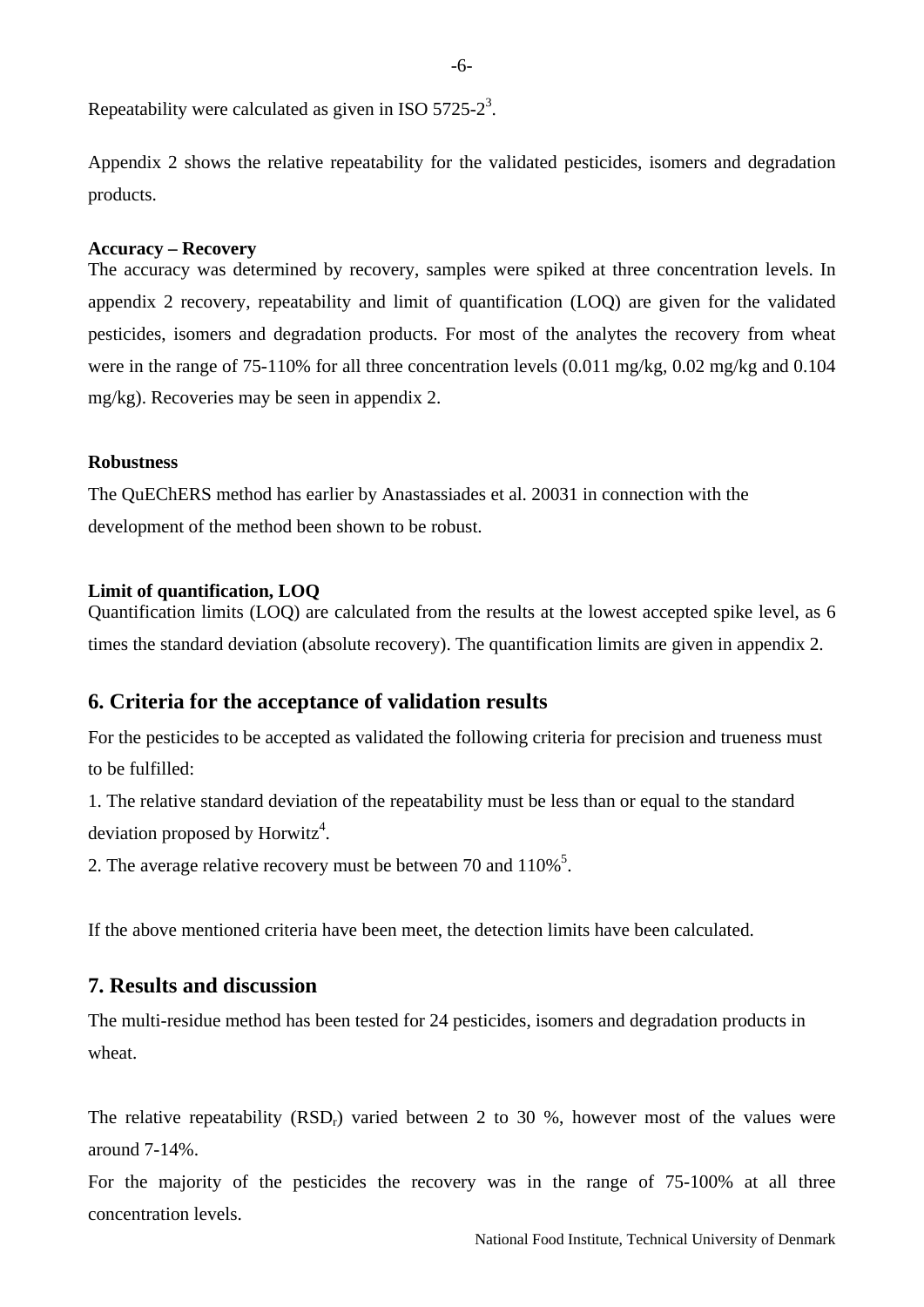<span id="page-5-0"></span>Repeatability were calculated as given in ISO 5725-2<sup>3</sup>.

Appendix 2 shows the relative repeatability for the validated pesticides, isomers and degradation products.

#### **Accuracy – Recovery**

The accuracy was determined by recovery, samples were spiked at three concentration levels. In appendix 2 recovery, repeatability and limit of quantification (LOQ) are given for the validated pesticides, isomers and degradation products. For most of the analytes the recovery from wheat were in the range of 75-110% for all three concentration levels (0.011 mg/kg, 0.02 mg/kg and 0.104 mg/kg). Recoveries may be seen in appendix 2.

#### **Robustness**

The QuEChERS method has earlier by Anastassiades et al. 20031 in connection with the development of the method been shown to be robust.

#### **Limit of quantification, LOQ**

Quantification limits (LOQ) are calculated from the results at the lowest accepted spike level, as 6 times the standard deviation (absolute recovery). The quantification limits are given in appendix 2.

### **6. Criteria for the acceptance of validation results**

For the pesticides to be accepted as validated the following criteria for precision and trueness must to be fulfilled:

1. The relative standard deviation of the repeatability must be less than or equal to the standard deviation proposed by Horwitz<sup>4</sup>.

2. The average relative recovery must be between 70 and  $110\%$ <sup>5</sup>.

If the above mentioned criteria have been meet, the detection limits have been calculated.

# **7. Results and discussion**

The multi-residue method has been tested for 24 pesticides, isomers and degradation products in wheat.

The relative repeatability  $(RSD<sub>r</sub>)$  varied between 2 to 30 %, however most of the values were around 7-14%.

For the majority of the pesticides the recovery was in the range of 75-100% at all three concentration levels.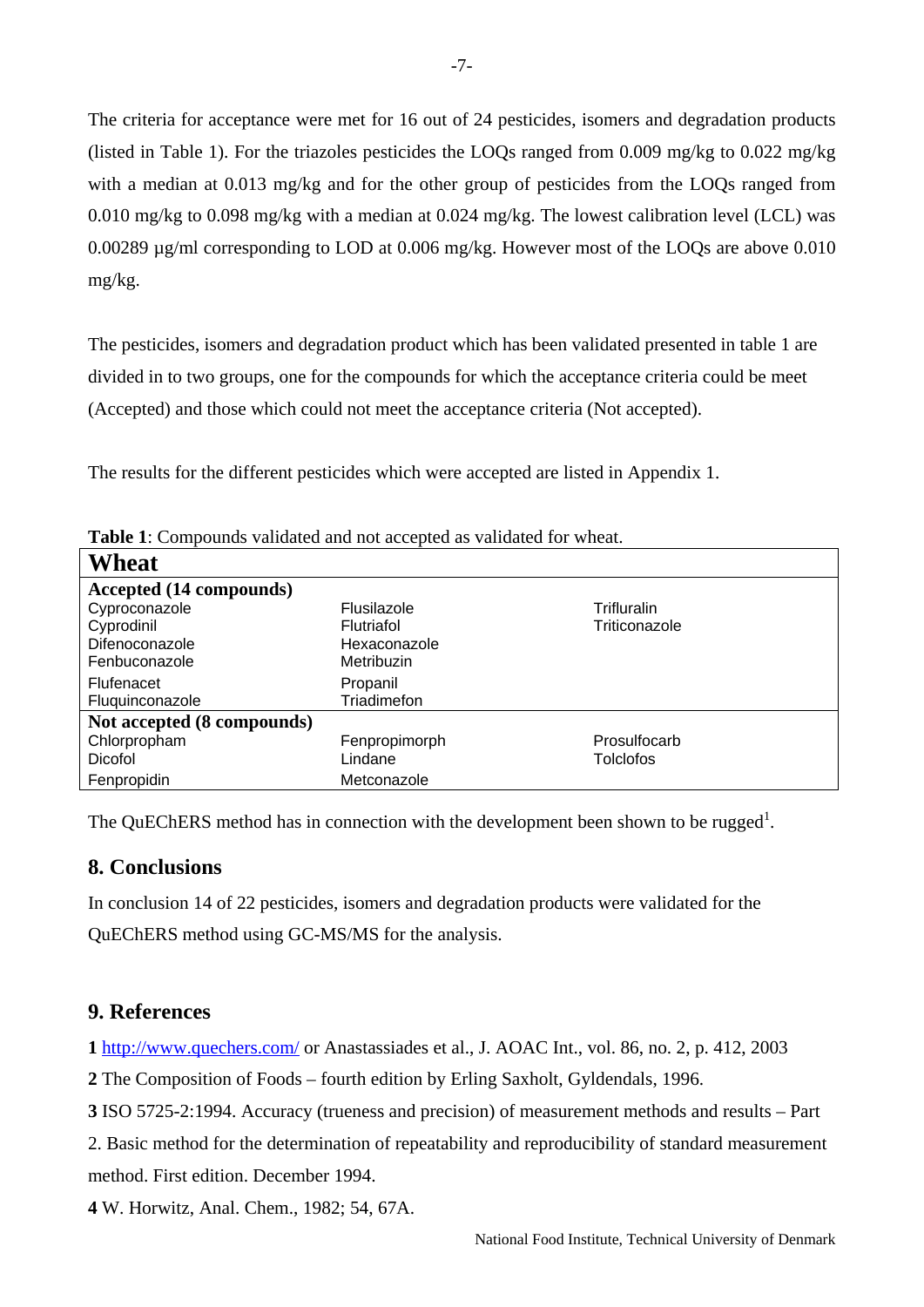<span id="page-6-0"></span>The criteria for acceptance were met for 16 out of 24 pesticides, isomers and degradation products (listed in Table 1). For the triazoles pesticides the LOQs ranged from 0.009 mg/kg to 0.022 mg/kg with a median at 0.013 mg/kg and for the other group of pesticides from the LOQs ranged from 0.010 mg/kg to 0.098 mg/kg with a median at 0.024 mg/kg. The lowest calibration level (LCL) was 0.00289 µg/ml corresponding to LOD at 0.006 mg/kg. However most of the LOQs are above 0.010 mg/kg.

The pesticides, isomers and degradation product which has been validated presented in table 1 are divided in to two groups, one for the compounds for which the acceptance criteria could be meet (Accepted) and those which could not meet the acceptance criteria (Not accepted).

The results for the different pesticides which were accepted are listed in Appendix 1.

| <b>Table 1</b> : Compounds vandated and not accepted as vandated for wheat. |                   |               |  |  |  |  |  |  |  |
|-----------------------------------------------------------------------------|-------------------|---------------|--|--|--|--|--|--|--|
| Wheat                                                                       |                   |               |  |  |  |  |  |  |  |
| Accepted (14 compounds)                                                     |                   |               |  |  |  |  |  |  |  |
| Cyproconazole                                                               | Flusilazole       | Trifluralin   |  |  |  |  |  |  |  |
| Cyprodinil                                                                  | <b>Flutriafol</b> | Triticonazole |  |  |  |  |  |  |  |
| Difenoconazole                                                              | Hexaconazole      |               |  |  |  |  |  |  |  |
| Fenbuconazole                                                               | Metribuzin        |               |  |  |  |  |  |  |  |
| Flufenacet                                                                  | Propanil          |               |  |  |  |  |  |  |  |
| Fluquinconazole                                                             | Triadimefon       |               |  |  |  |  |  |  |  |
| Not accepted (8 compounds)                                                  |                   |               |  |  |  |  |  |  |  |
| Chlorpropham                                                                | Fenpropimorph     | Prosulfocarb  |  |  |  |  |  |  |  |
| Dicofol                                                                     | Lindane           | Tolclofos     |  |  |  |  |  |  |  |
| Fenpropidin                                                                 | Metconazole       |               |  |  |  |  |  |  |  |

**Table 1**: Compounds validated and not accepted as validated and not accepted as validated as validated as validated as validated and accepted as validated as validated as validated as validated as validated as validated a

The QuEChERS method has in connection with the development been shown to be rugged<sup>1</sup>.

# **8. Conclusions**

In conclusion 14 of 22 pesticides, isomers and degradation products were validated for the QuEChERS method using GC-MS/MS for the analysis.

# **9. References**

**1** <http://www.quechers.com/>or Anastassiades et al., J. AOAC Int., vol. 86, no. 2, p. 412, 2003

**2** The Composition of Foods – fourth edition by Erling Saxholt, Gyldendals, 1996.

**3** ISO 5725-2:1994. Accuracy (trueness and precision) of measurement methods and results – Part

2. Basic method for the determination of repeatability and reproducibility of standard measurement method. First edition. December 1994.

**4** W. Horwitz, Anal. Chem., 1982; 54, 67A.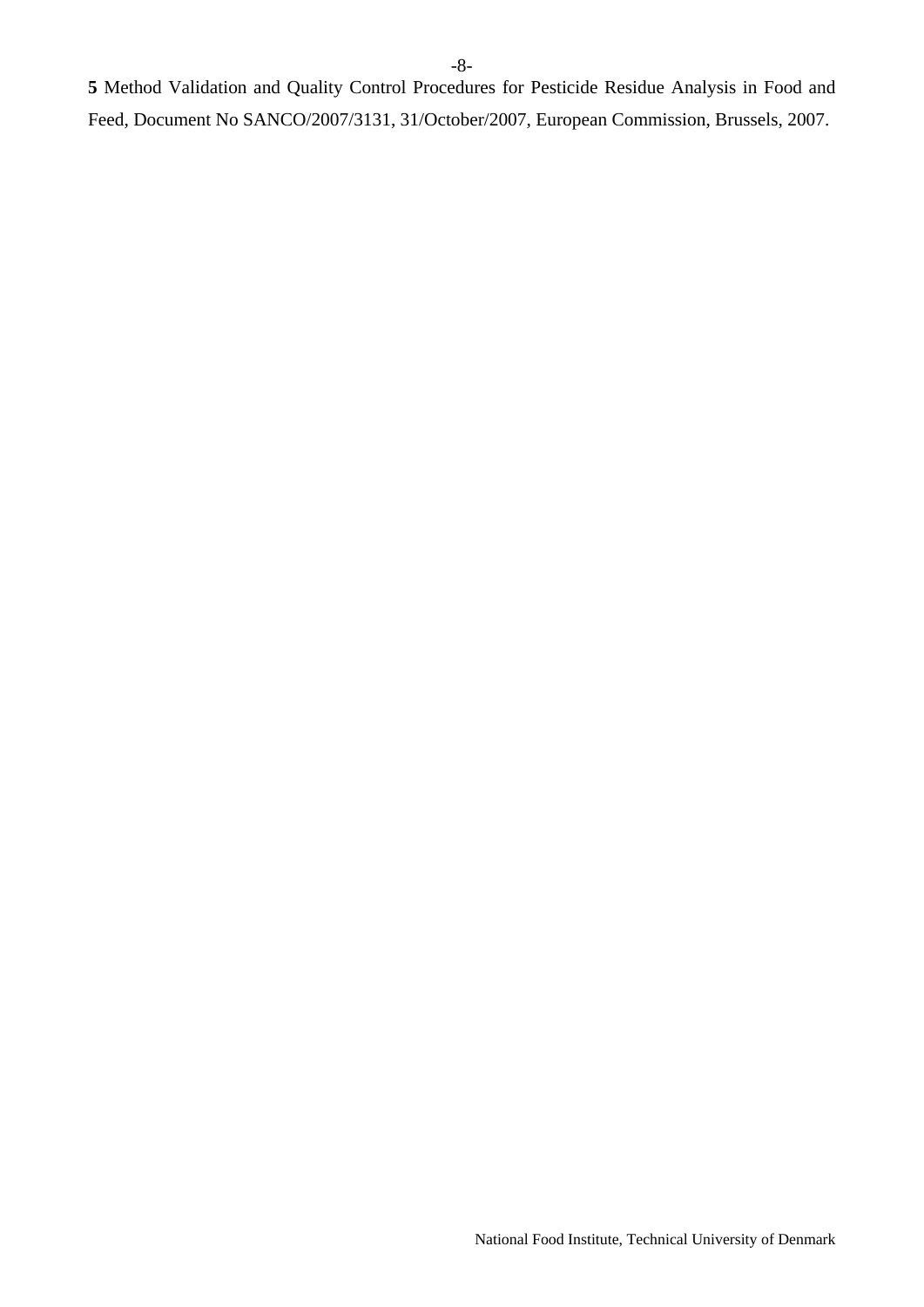**5** Method Validation and Quality Control Procedures for Pesticide Residue Analysis in Food and Feed, Document No SANCO/2007/3131, 31/October/2007, European Commission, Brussels, 2007.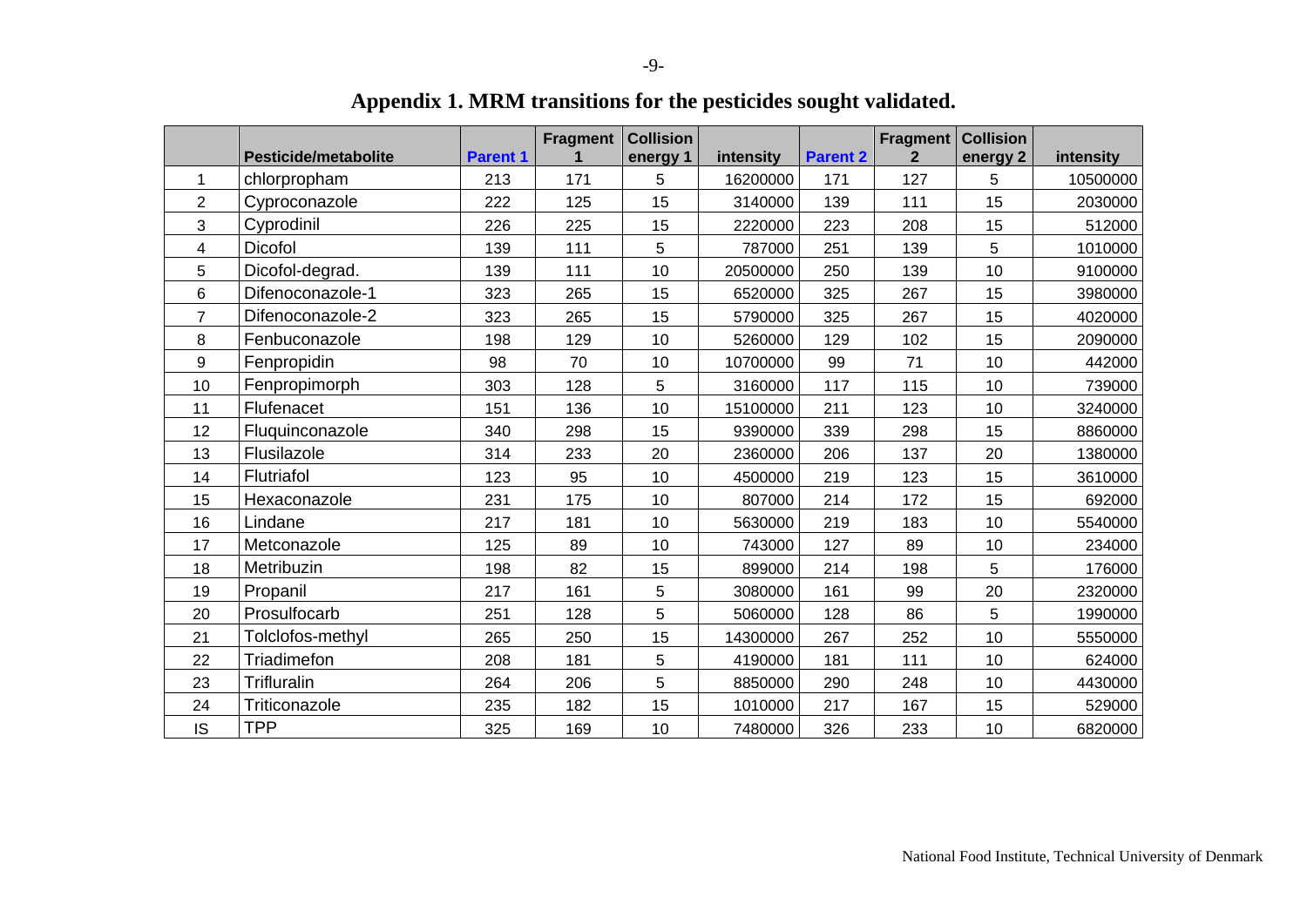<span id="page-8-0"></span>

|                | <b>Pesticide/metabolite</b> | <b>Parent 1</b> | Fragment | <b>Collision</b><br>energy 1 | intensity | <b>Parent 2</b> | Fragment<br>$\overline{2}$ | <b>Collision</b><br>energy 2 | intensity |
|----------------|-----------------------------|-----------------|----------|------------------------------|-----------|-----------------|----------------------------|------------------------------|-----------|
| 1              | chlorpropham                | 213             | 171      | 5                            | 16200000  | 171             | 127                        | 5                            | 10500000  |
| $\overline{2}$ | Cyproconazole               | 222             | 125      | 15                           | 3140000   | 139             | 111                        | 15                           | 2030000   |
| 3              | Cyprodinil                  | 226             | 225      | 15                           | 2220000   | 223             | 208                        | 15                           | 512000    |
| 4              | <b>Dicofol</b>              | 139             | 111      | 5                            | 787000    | 251             | 139                        | 5                            | 1010000   |
| 5              | Dicofol-degrad.             | 139             | 111      | 10                           | 20500000  | 250             | 139                        | 10                           | 9100000   |
| 6              | Difenoconazole-1            | 323             | 265      | 15                           | 6520000   | 325             | 267                        | 15                           | 3980000   |
| 7              | Difenoconazole-2            | 323             | 265      | 15                           | 5790000   | 325             | 267                        | 15                           | 4020000   |
| 8              | Fenbuconazole               | 198             | 129      | 10                           | 5260000   | 129             | 102                        | 15                           | 2090000   |
| 9              | Fenpropidin                 | 98              | 70       | 10                           | 10700000  | 99              | 71                         | 10                           | 442000    |
| 10             | Fenpropimorph               | 303             | 128      | 5                            | 3160000   | 117             | 115                        | 10                           | 739000    |
| 11             | Flufenacet                  | 151             | 136      | 10                           | 15100000  | 211             | 123                        | 10                           | 3240000   |
| 12             | Fluquinconazole             | 340             | 298      | 15                           | 9390000   | 339             | 298                        | 15                           | 8860000   |
| 13             | Flusilazole                 | 314             | 233      | 20                           | 2360000   | 206             | 137                        | 20                           | 1380000   |
| 14             | Flutriafol                  | 123             | 95       | 10                           | 4500000   | 219             | 123                        | 15                           | 3610000   |
| 15             | Hexaconazole                | 231             | 175      | 10                           | 807000    | 214             | 172                        | 15                           | 692000    |
| 16             | Lindane                     | 217             | 181      | 10                           | 5630000   | 219             | 183                        | 10                           | 5540000   |
| 17             | Metconazole                 | 125             | 89       | 10                           | 743000    | 127             | 89                         | 10                           | 234000    |
| 18             | Metribuzin                  | 198             | 82       | 15                           | 899000    | 214             | 198                        | 5                            | 176000    |
| 19             | Propanil                    | 217             | 161      | 5                            | 3080000   | 161             | 99                         | 20                           | 2320000   |
| 20             | Prosulfocarb                | 251             | 128      | 5                            | 5060000   | 128             | 86                         | 5                            | 1990000   |
| 21             | Tolclofos-methyl            | 265             | 250      | 15                           | 14300000  | 267             | 252                        | 10                           | 5550000   |
| 22             | Triadimefon                 | 208             | 181      | 5                            | 4190000   | 181             | 111                        | 10                           | 624000    |
| 23             | Trifluralin                 | 264             | 206      | 5                            | 8850000   | 290             | 248                        | 10                           | 4430000   |
| 24             | Triticonazole               | 235             | 182      | 15                           | 1010000   | 217             | 167                        | 15                           | 529000    |
| IS             | <b>TPP</b>                  | 325             | 169      | 10                           | 7480000   | 326             | 233                        | 10                           | 6820000   |

**Appendix 1. MRM transitions for the pesticides sought validated.**